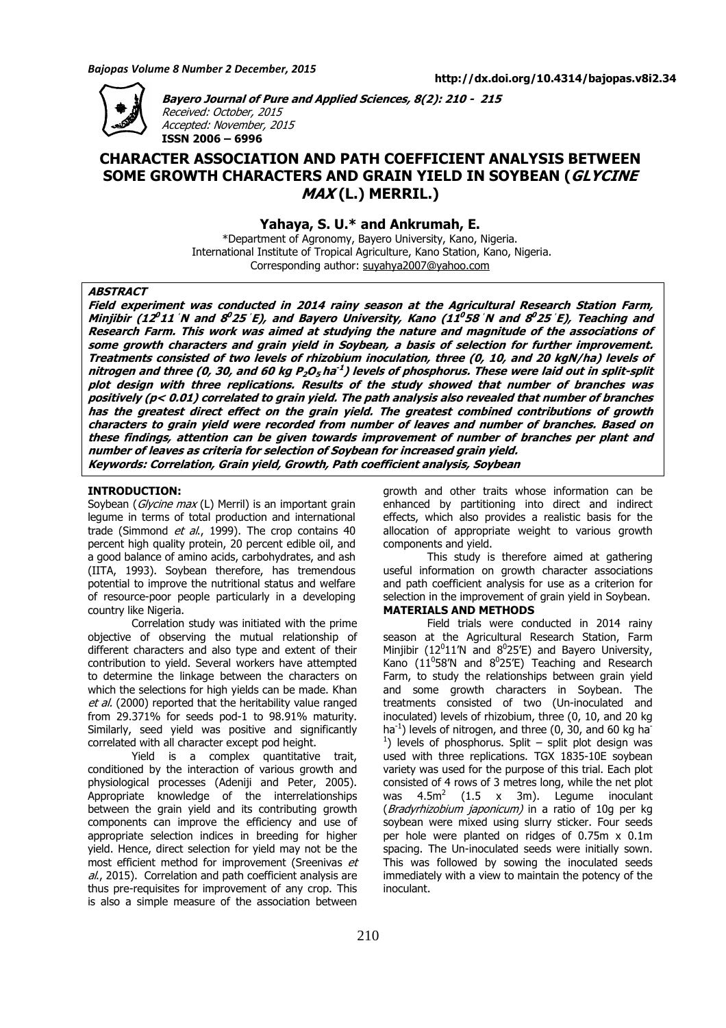

**Bayero Journal of Pure and Applied Sciences, 8(2): 210 - 215**  Received: October, 2015 Accepted: November, 2015 **ISSN 2006 – 6996**

# **CHARACTER ASSOCIATION AND PATH COEFFICIENT ANALYSIS BETWEEN SOME GROWTH CHARACTERS AND GRAIN YIELD IN SOYBEAN (GLYCINE MAX (L.) MERRIL.)**

**Yahaya, S. U.\* and Ankrumah, E.** 

\*Department of Agronomy, Bayero University, Kano, Nigeria. International Institute of Tropical Agriculture, Kano Station, Kano, Nigeria. Corresponding author: suyahya2007@yahoo.com

# **ABSTRACT**

**Field experiment was conducted in 2014 rainy season at the Agricultural Research Station Farm, Minjibir (12 <sup>0</sup> 11ˈN and 8 <sup>0</sup> <sup>25</sup>ˈE), and Bayero University, Kano (11 <sup>0</sup> 58ˈN and 8 <sup>0</sup> <sup>25</sup>ˈE), Teaching and Research Farm. This work was aimed at studying the nature and magnitude of the associations of some growth characters and grain yield in Soybean, a basis of selection for further improvement. Treatments consisted of two levels of rhizobium inoculation, three (0, 10, and 20 kgN/ha) levels of nitrogen and three (0, 30, and 60 kg P2O5 ha -1 ) levels of phosphorus. These were laid out in split-split plot design with three replications. Results of the study showed that number of branches was positively (p< 0.01) correlated to grain yield. The path analysis also revealed that number of branches has the greatest direct effect on the grain yield. The greatest combined contributions of growth characters to grain yield were recorded from number of leaves and number of branches. Based on these findings, attention can be given towards improvement of number of branches per plant and number of leaves as criteria for selection of Soybean for increased grain yield. Keywords: Correlation, Grain yield, Growth, Path coefficient analysis, Soybean** 

# **INTRODUCTION:**

Soybean (Glycine max (L) Merril) is an important grain legume in terms of total production and international trade (Simmond et al., 1999). The crop contains 40 percent high quality protein, 20 percent edible oil, and a good balance of amino acids, carbohydrates, and ash (IITA, 1993). Soybean therefore, has tremendous potential to improve the nutritional status and welfare of resource-poor people particularly in a developing country like Nigeria.

Correlation study was initiated with the prime objective of observing the mutual relationship of different characters and also type and extent of their contribution to yield. Several workers have attempted to determine the linkage between the characters on which the selections for high yields can be made. Khan et al. (2000) reported that the heritability value ranged from 29.371% for seeds pod-1 to 98.91% maturity. Similarly, seed vield was positive and significantly correlated with all character except pod height.

Yield is a complex quantitative trait, conditioned by the interaction of various growth and physiological processes (Adeniji and Peter, 2005). Appropriate knowledge of the interrelationships between the grain yield and its contributing growth components can improve the efficiency and use of appropriate selection indices in breeding for higher yield. Hence, direct selection for yield may not be the most efficient method for improvement (Sreenivas et al., 2015). Correlation and path coefficient analysis are thus pre-requisites for improvement of any crop. This is also a simple measure of the association between growth and other traits whose information can be enhanced by partitioning into direct and indirect effects, which also provides a realistic basis for the allocation of appropriate weight to various growth components and yield.

This study is therefore aimed at gathering useful information on growth character associations and path coefficient analysis for use as a criterion for selection in the improvement of grain yield in Soybean. **MATERIALS AND METHODS**

Field trials were conducted in 2014 rainy season at the Agricultural Research Station, Farm Minjibir (12 $0$ 11'N and  $80$ 25'E) and Bayero University, Kano (11<sup>0</sup>58'N and  $8^0$ 25'E) Teaching and Research Farm, to study the relationships between grain yield and some growth characters in Soybean. The treatments consisted of two (Un-inoculated and inoculated) levels of rhizobium, three (0, 10, and 20 kg ha<sup>-1</sup>) levels of nitrogen, and three (0, 30, and 60 kg ha<sup>-</sup> <sup>1</sup>) levels of phosphorus. Split – split plot design was used with three replications. TGX 1835-10E soybean variety was used for the purpose of this trial. Each plot consisted of 4 rows of 3 metres long, while the net plot was  $4.5m^2$  (1.5 x 3m). Legume inoculant (*Bradyrhizobium japonicum*) in a ratio of 10g per kg soybean were mixed using slurry sticker. Four seeds per hole were planted on ridges of 0.75m x 0.1m spacing. The Un-inoculated seeds were initially sown. This was followed by sowing the inoculated seeds immediately with a view to maintain the potency of the inoculant.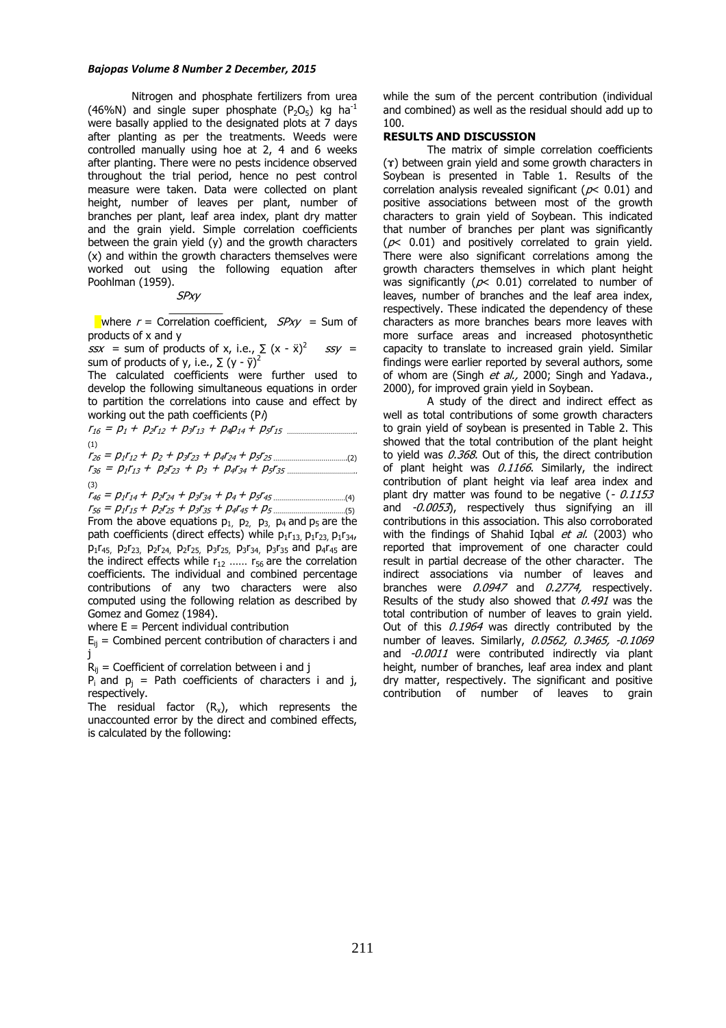#### *Bajopas Volume 8 Number 2 December, 2015*

Nitrogen and phosphate fertilizers from urea (46%N) and single super phosphate ( $P_2O_5$ ) kg ha<sup>-1</sup> were basally applied to the designated plots at 7 days after planting as per the treatments. Weeds were controlled manually using hoe at 2, 4 and 6 weeks after planting. There were no pests incidence observed throughout the trial period, hence no pest control measure were taken. Data were collected on plant height, number of leaves per plant, number of branches per plant, leaf area index, plant dry matter and the grain yield. Simple correlation coefficients between the grain yield (y) and the growth characters (x) and within the growth characters themselves were worked out using the following equation after Poohlman (1959).

 SPxy \_\_\_\_\_\_\_\_\_

where  $r =$  Correlation coefficient,  $SPxy =$  Sum of products of x and y

 $ssx =$  sum of products of x, i.e.,  $\sum (x - \ddot{x})^2$  $ssy =$ sum of products of y, i.e.,  $\Sigma$  (y -  $\bar{y}$ )<sup>2</sup>

The calculated coefficients were further used to develop the following simultaneous equations in order to partition the correlations into cause and effect by working out the path coefficients  $(P<sub>i</sub>)$ 

<sup>r</sup><sup>16</sup> = p1 + p2r<sup>12</sup> + p3r<sup>13</sup> + p4p14 + p5r15 …………………………….. (1) <sup>r</sup><sup>26</sup> = p1r12 <sup>+</sup> p<sup>2</sup> + p3r<sup>23</sup> + p4r24 + p5r25 ……………………………….(2) <sup>r</sup><sup>36</sup> = p1r13 + p2r<sup>23</sup> + p<sup>3</sup> + p4r34 + p5r35 ……………………………..

(3) <sup>r</sup><sup>46</sup> = p1r14 <sup>+</sup> p2r<sup>24</sup> + p3r<sup>34</sup> + p4 + p5r45 ………………………………(4)

<sup>r</sup><sup>56</sup> = p1r15 <sup>+</sup> p2r<sup>25</sup> + p3r<sup>35</sup> + p4r45 + p5 ………………………………(5) From the above equations  $p_1$ ,  $p_2$ ,  $p_3$ ,  $p_4$  and  $p_5$  are the path coefficients (direct effects) while  $p_1r_{13}$ ,  $p_1r_{23}$ ,  $p_1r_{34}$ , p1r45, p2r23, p2r24, p2r25, p3r25, p3r34, p3r35 and p4r45 are the indirect effects while  $r_{12}$  ......  $r_{56}$  are the correlation coefficients. The individual and combined percentage contributions of any two characters were also computed using the following relation as described by Gomez and Gomez (1984).

where  $E =$  Percent individual contribution

 $E_{ii}$  = Combined percent contribution of characters i and j

 $R_{ii}$  = Coefficient of correlation between i and j

 $P_i$  and  $p_j$  = Path coefficients of characters i and j, respectively.

The residual factor  $(R_x)$ , which represents the unaccounted error by the direct and combined effects, is calculated by the following:

while the sum of the percent contribution (individual and combined) as well as the residual should add up to 100.

#### **RESULTS AND DISCUSSION**

The matrix of simple correlation coefficients (ɤ) between grain yield and some growth characters in Soybean is presented in Table 1. Results of the correlation analysis revealed significant ( $p$ < 0.01) and positive associations between most of the growth characters to grain yield of Soybean. This indicated that number of branches per plant was significantly  $(p< 0.01)$  and positively correlated to grain yield. There were also significant correlations among the growth characters themselves in which plant height was significantly ( $p$ < 0.01) correlated to number of leaves, number of branches and the leaf area index, respectively. These indicated the dependency of these characters as more branches bears more leaves with more surface areas and increased photosynthetic capacity to translate to increased grain yield. Similar findings were earlier reported by several authors, some of whom are (Singh et al., 2000; Singh and Yadava., 2000), for improved grain yield in Soybean.

A study of the direct and indirect effect as well as total contributions of some growth characters to grain yield of soybean is presented in Table 2. This showed that the total contribution of the plant height to yield was 0.368. Out of this, the direct contribution of plant height was  $0.1166$ . Similarly, the indirect contribution of plant height via leaf area index and plant dry matter was found to be negative  $(-0.1153)$ and -0.0053), respectively thus signifying an ill contributions in this association. This also corroborated with the findings of Shahid Igbal et al. (2003) who reported that improvement of one character could result in partial decrease of the other character. The indirect associations via number of leaves and branches were 0.0947 and 0.2774, respectively. Results of the study also showed that  $0.491$  was the total contribution of number of leaves to grain yield. Out of this 0.1964 was directly contributed by the number of leaves. Similarly, 0.0562, 0.3465, -0.1069 and -0.0011 were contributed indirectly via plant height, number of branches, leaf area index and plant dry matter, respectively. The significant and positive contribution of number of leaves to grain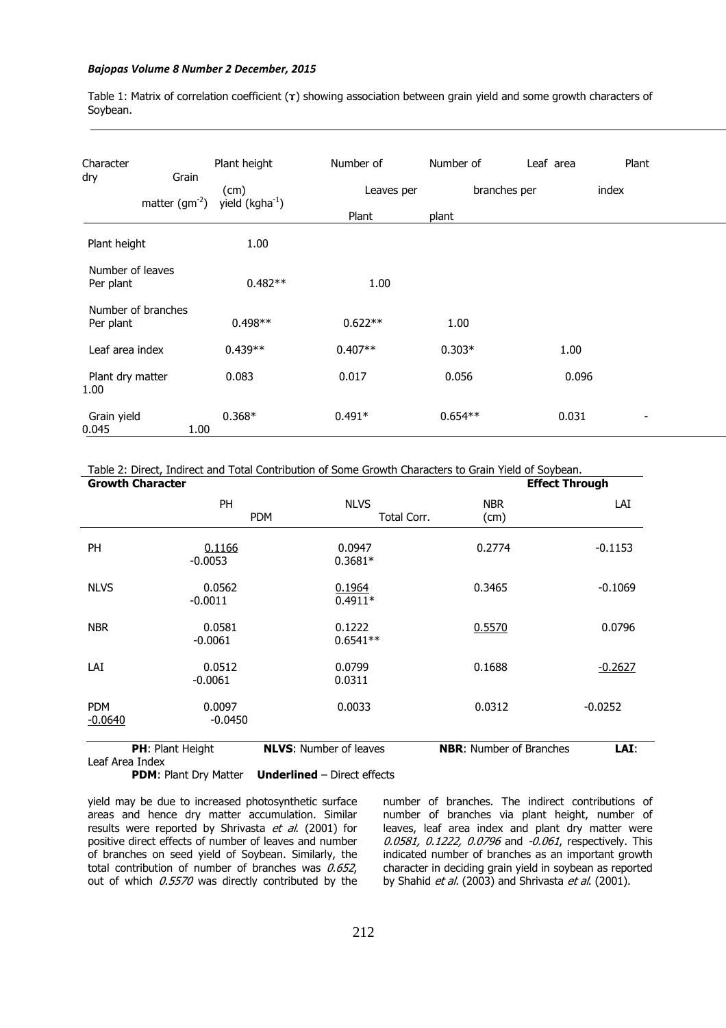### *Bajopas Volume 8 Number 2 December, 2015*

Table 1: Matrix of correlation coefficient (ɤ) showing association between grain yield and some growth characters of Soybean.

| Character<br>dry              | Grain<br>matter $(gm^{-2})$ | Plant height<br>(cm)<br>yield $(kgha^{-1})$ | Number of<br>Leaves per<br>Plant | Number of<br>plant | Leaf area<br>branches per | Plant<br>index           |  |
|-------------------------------|-----------------------------|---------------------------------------------|----------------------------------|--------------------|---------------------------|--------------------------|--|
| Plant height                  |                             | 1.00                                        |                                  |                    |                           |                          |  |
| Number of leaves<br>Per plant |                             | $0.482**$                                   | 1.00                             |                    |                           |                          |  |
| Per plant                     | Number of branches          | $0.498**$                                   | $0.622**$                        | 1.00               |                           |                          |  |
| Leaf area index               |                             | $0.439**$                                   | $0.407**$                        | $0.303*$           | 1.00                      |                          |  |
| Plant dry matter<br>1.00      |                             | 0.083                                       | 0.017                            | 0.056              | 0.096                     |                          |  |
| Grain yield<br>0.045          | 1.00                        | $0.368*$                                    | $0.491*$                         | $0.654**$          | 0.031                     | $\overline{\phantom{a}}$ |  |

Table 2: Direct, Indirect and Total Contribution of Some Growth Characters to Grain Yield of Soybean.

| <b>Growth Character</b> |                     |                                          |                                | <b>Effect Through</b> |  |
|-------------------------|---------------------|------------------------------------------|--------------------------------|-----------------------|--|
|                         | <b>PH</b>           | <b>NLVS</b><br><b>PDM</b><br>Total Corr. | <b>NBR</b><br>(cm)             | LAI                   |  |
| <b>PH</b>               | 0.1166<br>$-0.0053$ | 0.0947<br>$0.3681*$                      | 0.2774                         | $-0.1153$             |  |
| <b>NLVS</b>             | 0.0562<br>$-0.0011$ | 0.1964<br>$0.4911*$                      | 0.3465                         | $-0.1069$             |  |
| <b>NBR</b>              | 0.0581<br>$-0.0061$ | 0.1222<br>$0.6541**$                     | 0.5570                         | 0.0796                |  |
| LAI                     | 0.0512<br>$-0.0061$ | 0.0799<br>0.0311                         | 0.1688                         | $-0.2627$             |  |
| <b>PDM</b><br>$-0.0640$ | 0.0097<br>$-0.0450$ | 0.0033                                   | 0.0312                         | $-0.0252$             |  |
| PH: Plant Height        |                     | <b>NLVS: Number of leaves</b>            | <b>NBR:</b> Number of Branches | LAI:                  |  |

Leaf Area Index

**PDM**: Plant Dry Matter **Underlined** – Direct effects

yield may be due to increased photosynthetic surface areas and hence dry matter accumulation. Similar results were reported by Shrivasta et al. (2001) for positive direct effects of number of leaves and number of branches on seed yield of Soybean. Similarly, the total contribution of number of branches was  $0.652$ , out of which  $0.5570$  was directly contributed by the

number of branches. The indirect contributions of number of branches via plant height, number of leaves, leaf area index and plant dry matter were 0.0581, 0.1222, 0.0796 and -0.061, respectively. This indicated number of branches as an important growth character in deciding grain yield in soybean as reported by Shahid et al. (2003) and Shrivasta et al. (2001).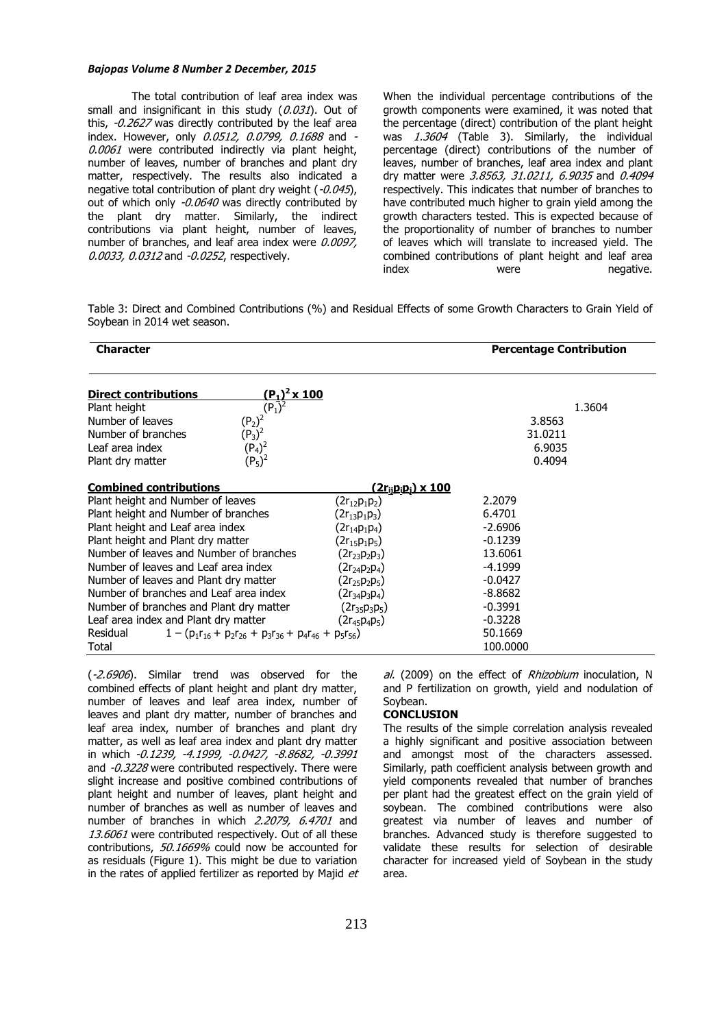#### *Bajopas Volume 8 Number 2 December, 2015*

The total contribution of leaf area index was small and insignificant in this study  $(0.031)$ . Out of this, -0.2627 was directly contributed by the leaf area index. However, only 0.0512, 0.0799, 0.1688 and -0.0061 were contributed indirectly via plant height, number of leaves, number of branches and plant dry matter, respectively. The results also indicated a negative total contribution of plant dry weight (-0.045), out of which only -0.0640 was directly contributed by the plant dry matter. Similarly, the indirect contributions via plant height, number of leaves, number of branches, and leaf area index were  $0.0097$ , 0.0033, 0.0312 and -0.0252, respectively.

When the individual percentage contributions of the growth components were examined, it was noted that the percentage (direct) contribution of the plant height was  $1.360\overline{4}$  (Table 3). Similarly, the individual percentage (direct) contributions of the number of leaves, number of branches, leaf area index and plant dry matter were 3.8563, 31.0211, 6.9035 and 0.4094 respectively. This indicates that number of branches to have contributed much higher to grain yield among the growth characters tested. This is expected because of the proportionality of number of branches to number of leaves which will translate to increased yield. The combined contributions of plant height and leaf area index were negative.

Table 3: Direct and Combined Contributions (%) and Residual Effects of some Growth Characters to Grain Yield of Soybean in 2014 wet season.

| <b>Character</b>                                                              |                                                          | <b>Percentage Contribution</b> |  |
|-------------------------------------------------------------------------------|----------------------------------------------------------|--------------------------------|--|
| $(P_1)^2$ x 100<br><b>Direct contributions</b>                                |                                                          |                                |  |
| $(P_1)^2$<br>$(P_2)^2$<br>$(P_3)^2$<br>Plant height                           |                                                          | 1.3604                         |  |
| Number of leaves                                                              |                                                          | 3.8563                         |  |
| Number of branches                                                            |                                                          | 31.0211                        |  |
| $(P_4)^2$<br>Leaf area index                                                  |                                                          | 6.9035                         |  |
| $(P_5)^2$<br>Plant dry matter                                                 |                                                          | 0.4094                         |  |
| <b>Combined contributions</b>                                                 | <u>(2r<sub>ij</sub>p<sub>i</sub>p<sub>i</sub>) x 100</u> |                                |  |
| Plant height and Number of leaves                                             | $(2r_{12}p_1p_2)$                                        | 2.2079                         |  |
| Plant height and Number of branches                                           | $(2r_{13}p_1p_3)$                                        | 6.4701                         |  |
| Plant height and Leaf area index                                              | $(2r_{14}p_1p_4)$                                        | $-2.6906$                      |  |
| Plant height and Plant dry matter                                             | $(2r_{15}p_1p_5)$                                        | $-0.1239$                      |  |
| Number of leaves and Number of branches                                       | $(2r_{23}p_2p_3)$                                        | 13.6061                        |  |
| Number of leaves and Leaf area index                                          | $(2r_{24}p_{2}p_{4})$                                    | $-4.1999$                      |  |
| Number of leaves and Plant dry matter                                         | $(2r_{25}p_2p_5)$                                        | $-0.0427$                      |  |
| Number of branches and Leaf area index                                        | $(2r_{34}p_3p_4)$                                        | $-8.8682$                      |  |
| Number of branches and Plant dry matter                                       | $(2r_{35}p_3p_5)$                                        | $-0.3991$                      |  |
| Leaf area index and Plant dry matter                                          | $(2r_{45}p_{4}p_{5})$                                    | $-0.3228$                      |  |
| Residual<br>$1 - (p_1r_{16} + p_2r_{26} + p_3r_{36} + p_4r_{46} + p_5r_{56})$ |                                                          | 50.1669                        |  |
| Total                                                                         |                                                          | 100,0000                       |  |

(-2.6906). Similar trend was observed for the combined effects of plant height and plant dry matter, number of leaves and leaf area index, number of leaves and plant dry matter, number of branches and leaf area index, number of branches and plant dry matter, as well as leaf area index and plant dry matter in which -0.1239, -4.1999, -0.0427, -8.8682, -0.3991 and -0.3228 were contributed respectively. There were slight increase and positive combined contributions of plant height and number of leaves, plant height and number of branches as well as number of leaves and number of branches in which 2.2079, 6.4701 and 13.6061 were contributed respectively. Out of all these contributions, 50.1669% could now be accounted for as residuals (Figure 1). This might be due to variation in the rates of applied fertilizer as reported by Majid et

al. (2009) on the effect of Rhizobium inoculation, N and P fertilization on growth, yield and nodulation of Soybean.

# **CONCLUSION**

The results of the simple correlation analysis revealed a highly significant and positive association between and amongst most of the characters assessed. Similarly, path coefficient analysis between growth and yield components revealed that number of branches per plant had the greatest effect on the grain yield of soybean. The combined contributions were also greatest via number of leaves and number of branches. Advanced study is therefore suggested to validate these results for selection of desirable character for increased yield of Soybean in the study area.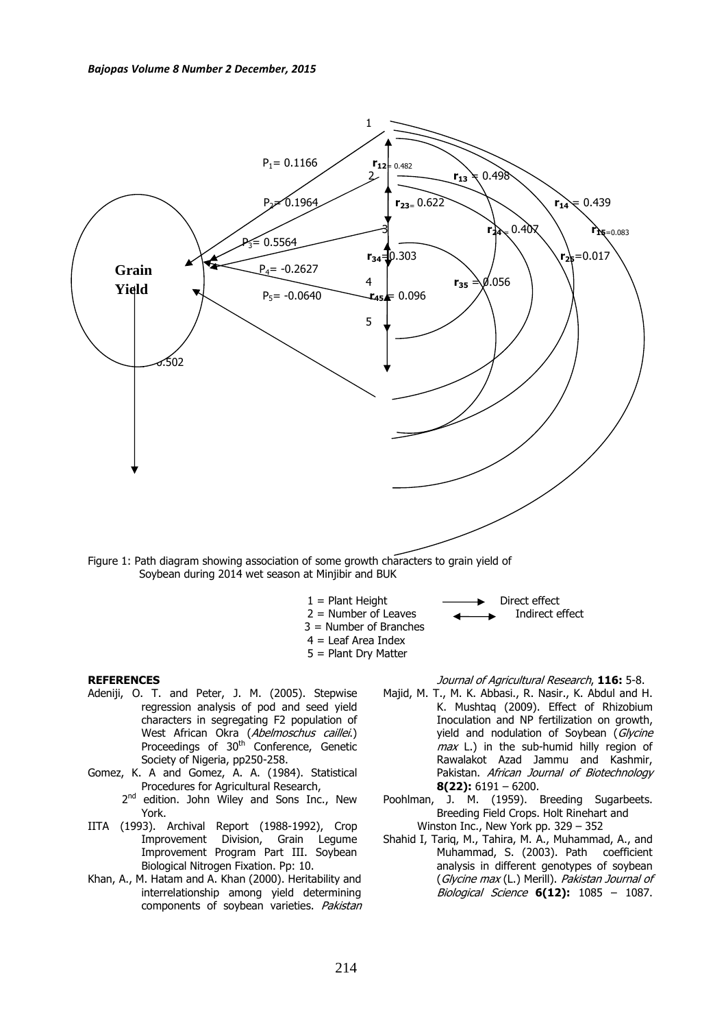

Soybean during 2014 wet season at Minjibir and BUK

- 
- $1 =$  Plant Height  $2 =$  Number of Leaves  $\overline{4}$  Direct effect  $2 =$  Number of Leaves
- 3 = Number of Branches
- 4 = Leaf Area Index
	- 5 = Plant Dry Matter

#### **REFERENCES**

- Adeniji, O. T. and Peter, J. M. (2005). Stepwise regression analysis of pod and seed yield characters in segregating F2 population of West African Okra (*Abelmoschus caillei*.) Proceedings of 30<sup>th</sup> Conference, Genetic Society of Nigeria, pp250-258.
- Gomez, K. A and Gomez, A. A. (1984). Statistical Procedures for Agricultural Research,
	- 2<sup>nd</sup> edition. John Wiley and Sons Inc., New York.
- IITA (1993). Archival Report (1988-1992), Crop Improvement Division, Grain Legume Improvement Program Part III. Soybean Biological Nitrogen Fixation. Pp: 10.
- Khan, A., M. Hatam and A. Khan (2000). Heritability and interrelationship among yield determining components of soybean varieties. Pakistan

# Journal of Agricultural Research, **116:** 5-8.

- Majid, M. T., M. K. Abbasi., R. Nasir., K. Abdul and H. K. Mushtaq (2009). Effect of Rhizobium Inoculation and NP fertilization on growth, yield and nodulation of Soybean (Glycine  $max$  L.) in the sub-humid hilly region of Rawalakot Azad Jammu and Kashmir, Pakistan. African Journal of Biotechnology **8(22):** 6191 – 6200.
- Poohlman, J. M. (1959). Breeding Sugarbeets. Breeding Field Crops. Holt Rinehart and Winston Inc., New York pp. 329 – 352
- Shahid I, Tariq, M., Tahira, M. A., Muhammad, A., and Muhammad, S. (2003). Path coefficient analysis in different genotypes of soybean (Glycine max (L.) Merill). Pakistan Journal of Biological Science **6(12):** 1085 – 1087.